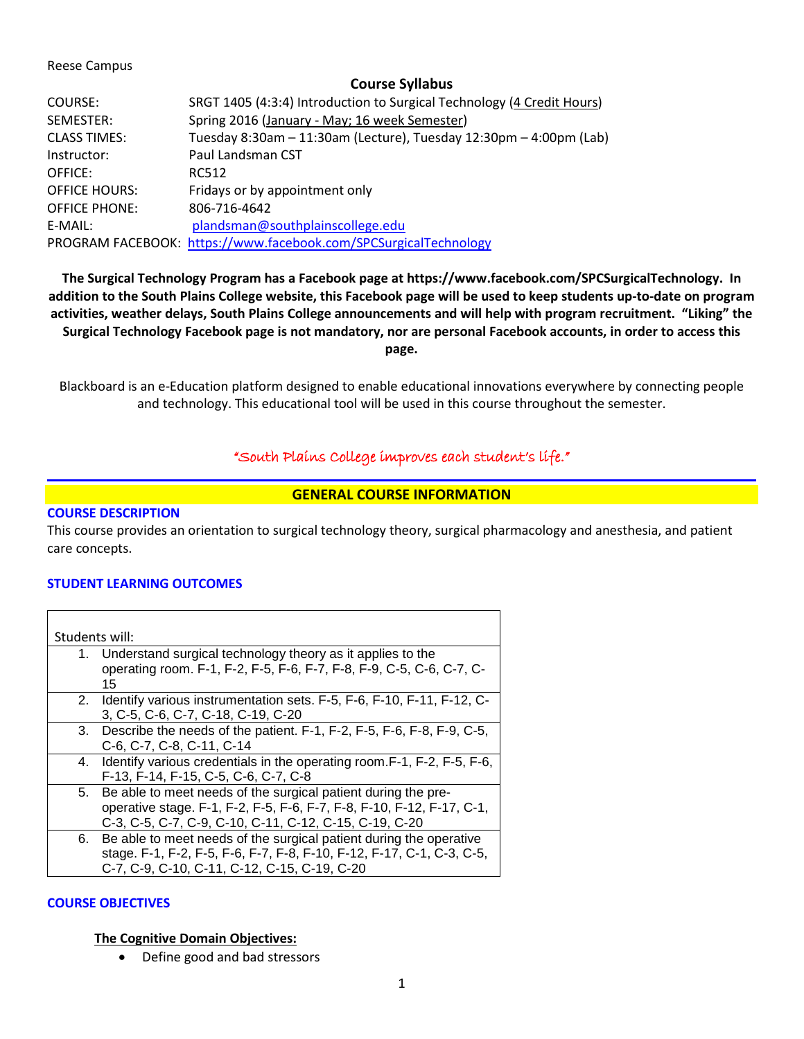### Reese Campus

### **Course Syllabus**

| COURSE:              | SRGT 1405 (4:3:4) Introduction to Surgical Technology (4 Credit Hours) |  |
|----------------------|------------------------------------------------------------------------|--|
| SEMESTER:            | Spring 2016 (January - May; 16 week Semester)                          |  |
| <b>CLASS TIMES:</b>  | Tuesday 8:30am - 11:30am (Lecture), Tuesday 12:30pm - 4:00pm (Lab)     |  |
| Instructor:          | Paul Landsman CST                                                      |  |
| OFFICE:              | RC512                                                                  |  |
| <b>OFFICE HOURS:</b> | Fridays or by appointment only                                         |  |
| <b>OFFICE PHONE:</b> | 806-716-4642                                                           |  |
| F-MAIL:              | plandsman@southplainscollege.edu                                       |  |
|                      | PROGRAM FACEBOOK: https://www.facebook.com/SPCSurgicalTechnology       |  |

**The Surgical Technology Program has a Facebook page at https://www.facebook.com/SPCSurgicalTechnology. In addition to the South Plains College website, this Facebook page will be used to keep students up-to-date on program activities, weather delays, South Plains College announcements and will help with program recruitment. "Liking" the Surgical Technology Facebook page is not mandatory, nor are personal Facebook accounts, in order to access this page.**

Blackboard is an e-Education platform designed to enable educational innovations everywhere by connecting people and technology. This educational tool will be used in this course throughout the semester.

# "South Plains College improves each student's life."

## **GENERAL COURSE INFORMATION**

### **COURSE DESCRIPTION**

This course provides an orientation to surgical technology theory, surgical pharmacology and anesthesia, and patient care concepts.

### **STUDENT LEARNING OUTCOMES**

| Students will: |                                                                                                                                                                                                     |  |  |
|----------------|-----------------------------------------------------------------------------------------------------------------------------------------------------------------------------------------------------|--|--|
| 1.             | Understand surgical technology theory as it applies to the<br>operating room. F-1, F-2, F-5, F-6, F-7, F-8, F-9, C-5, C-6, C-7, C-<br>15                                                            |  |  |
|                | 2. Identify various instrumentation sets. F-5, F-6, F-10, F-11, F-12, C-<br>3, C-5, C-6, C-7, C-18, C-19, C-20                                                                                      |  |  |
|                | 3. Describe the needs of the patient. F-1, F-2, F-5, F-6, F-8, F-9, C-5,<br>C-6, C-7, C-8, C-11, C-14                                                                                               |  |  |
|                | 4. Identify various credentials in the operating room. F-1, F-2, F-5, F-6,<br>F-13, F-14, F-15, C-5, C-6, C-7, C-8                                                                                  |  |  |
|                | 5. Be able to meet needs of the surgical patient during the pre-<br>operative stage. F-1, F-2, F-5, F-6, F-7, F-8, F-10, F-12, F-17, C-1,<br>C-3, C-5, C-7, C-9, C-10, C-11, C-12, C-15, C-19, C-20 |  |  |
| 6.             | Be able to meet needs of the surgical patient during the operative<br>stage. F-1, F-2, F-5, F-6, F-7, F-8, F-10, F-12, F-17, C-1, C-3, C-5,<br>C-7, C-9, C-10, C-11, C-12, C-15, C-19, C-20         |  |  |

### **COURSE OBJECTIVES**

### **The Cognitive Domain Objectives:**

• Define good and bad stressors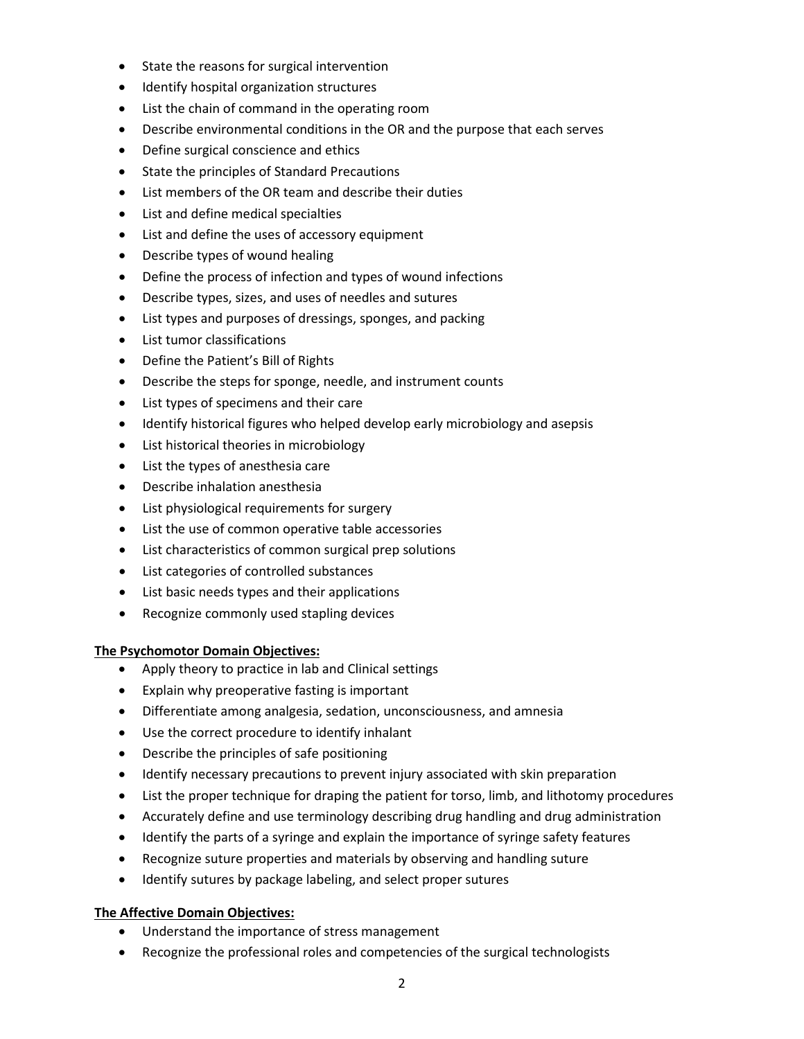- State the reasons for surgical intervention
- Identify hospital organization structures
- List the chain of command in the operating room
- Describe environmental conditions in the OR and the purpose that each serves
- Define surgical conscience and ethics
- State the principles of Standard Precautions
- List members of the OR team and describe their duties
- List and define medical specialties
- List and define the uses of accessory equipment
- Describe types of wound healing
- Define the process of infection and types of wound infections
- Describe types, sizes, and uses of needles and sutures
- List types and purposes of dressings, sponges, and packing
- List tumor classifications
- Define the Patient's Bill of Rights
- Describe the steps for sponge, needle, and instrument counts
- List types of specimens and their care
- Identify historical figures who helped develop early microbiology and asepsis
- List historical theories in microbiology
- List the types of anesthesia care
- Describe inhalation anesthesia
- List physiological requirements for surgery
- List the use of common operative table accessories
- List characteristics of common surgical prep solutions
- List categories of controlled substances
- List basic needs types and their applications
- Recognize commonly used stapling devices

### **The Psychomotor Domain Objectives:**

- Apply theory to practice in lab and Clinical settings
- Explain why preoperative fasting is important
- Differentiate among analgesia, sedation, unconsciousness, and amnesia
- Use the correct procedure to identify inhalant
- Describe the principles of safe positioning
- Identify necessary precautions to prevent injury associated with skin preparation
- List the proper technique for draping the patient for torso, limb, and lithotomy procedures
- Accurately define and use terminology describing drug handling and drug administration
- Identify the parts of a syringe and explain the importance of syringe safety features
- Recognize suture properties and materials by observing and handling suture
- Identify sutures by package labeling, and select proper sutures

## **The Affective Domain Objectives:**

- Understand the importance of stress management
- Recognize the professional roles and competencies of the surgical technologists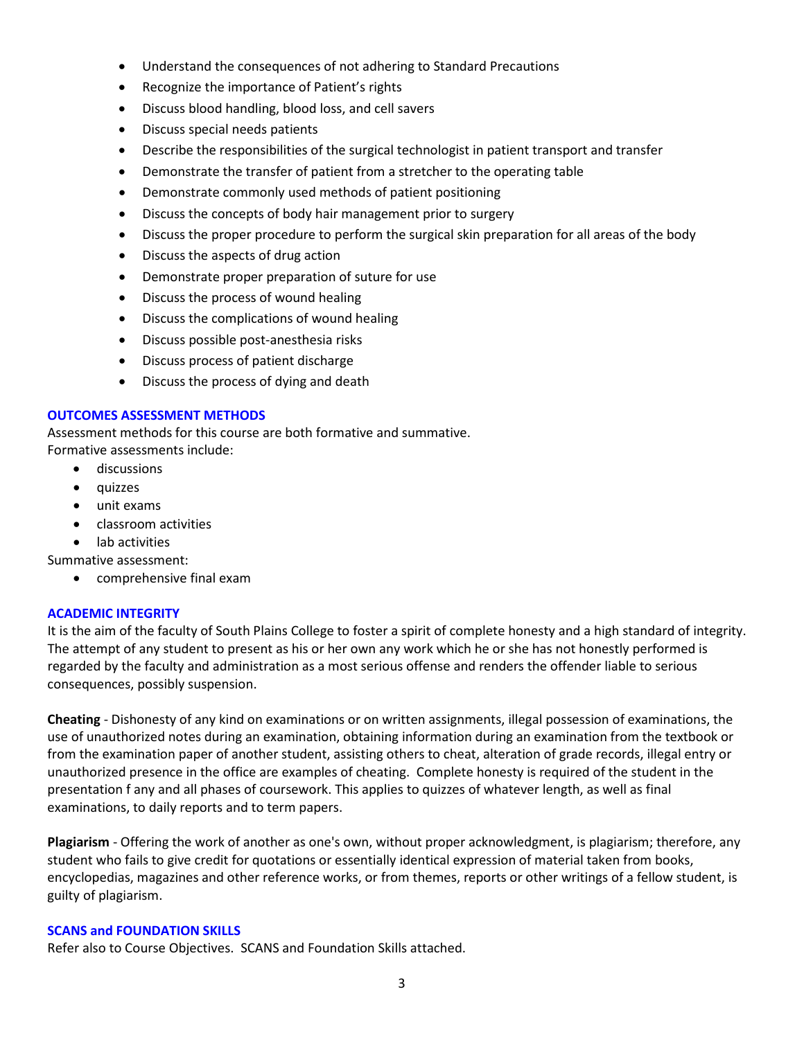- Understand the consequences of not adhering to Standard Precautions
- Recognize the importance of Patient's rights
- Discuss blood handling, blood loss, and cell savers
- Discuss special needs patients
- Describe the responsibilities of the surgical technologist in patient transport and transfer
- Demonstrate the transfer of patient from a stretcher to the operating table
- Demonstrate commonly used methods of patient positioning
- Discuss the concepts of body hair management prior to surgery
- Discuss the proper procedure to perform the surgical skin preparation for all areas of the body
- Discuss the aspects of drug action
- Demonstrate proper preparation of suture for use
- Discuss the process of wound healing
- Discuss the complications of wound healing
- Discuss possible post-anesthesia risks
- Discuss process of patient discharge
- Discuss the process of dying and death

### **OUTCOMES ASSESSMENT METHODS**

Assessment methods for this course are both formative and summative. Formative assessments include:

- discussions
- quizzes
- unit exams
- classroom activities
- lab activities

Summative assessment:

• comprehensive final exam

### **ACADEMIC INTEGRITY**

It is the aim of the faculty of South Plains College to foster a spirit of complete honesty and a high standard of integrity. The attempt of any student to present as his or her own any work which he or she has not honestly performed is regarded by the faculty and administration as a most serious offense and renders the offender liable to serious consequences, possibly suspension.

**Cheating** - Dishonesty of any kind on examinations or on written assignments, illegal possession of examinations, the use of unauthorized notes during an examination, obtaining information during an examination from the textbook or from the examination paper of another student, assisting others to cheat, alteration of grade records, illegal entry or unauthorized presence in the office are examples of cheating. Complete honesty is required of the student in the presentation f any and all phases of coursework. This applies to quizzes of whatever length, as well as final examinations, to daily reports and to term papers.

**Plagiarism** - Offering the work of another as one's own, without proper acknowledgment, is plagiarism; therefore, any student who fails to give credit for quotations or essentially identical expression of material taken from books, encyclopedias, magazines and other reference works, or from themes, reports or other writings of a fellow student, is guilty of plagiarism.

### **SCANS and FOUNDATION SKILLS**

Refer also to Course Objectives. SCANS and Foundation Skills attached.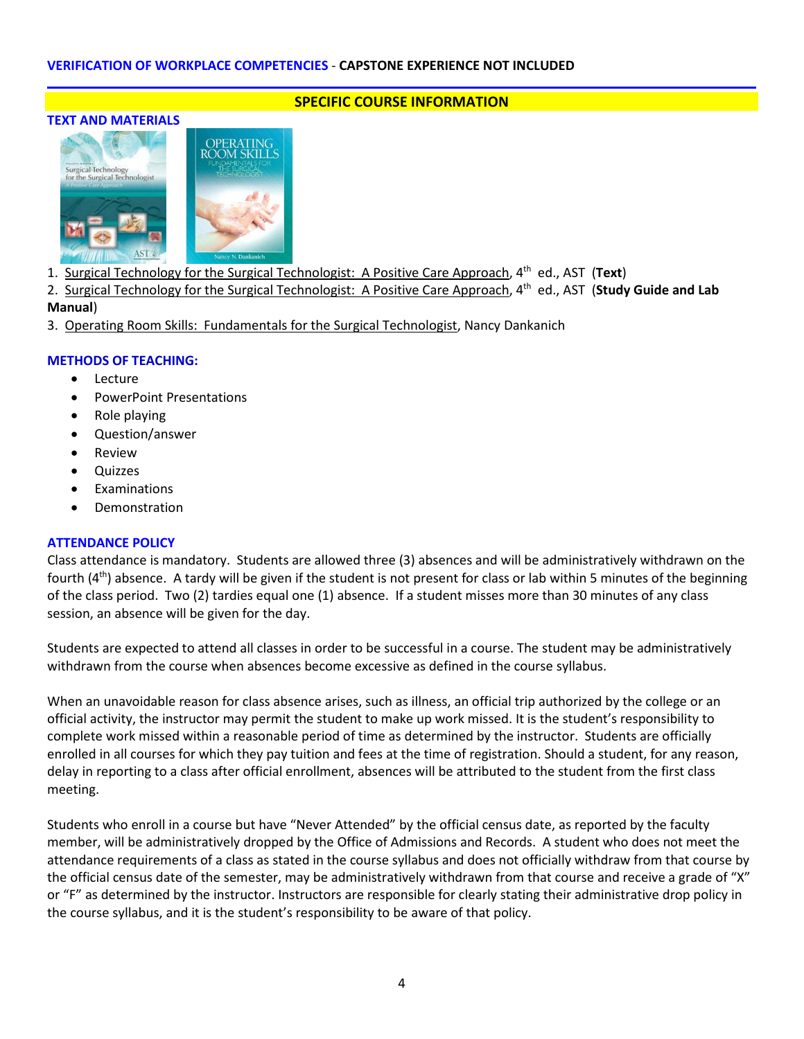### **TEXT AND MATERIALS**



**SPECIFIC COURSE INFORMATION**

- 1. Surgical Technology for the Surgical Technologist: A Positive Care Approach, 4th ed., AST (**Text**)
- 2. Surgical Technology for the Surgical Technologist: A Positive Care Approach, 4th ed., AST (**Study Guide and Lab Manual**)
- 3. Operating Room Skills: Fundamentals for the Surgical Technologist, Nancy Dankanich

### **METHODS OF TEACHING:**

- Lecture
- PowerPoint Presentations
- Role playing
- Question/answer
- **Review**
- **Quizzes**
- **Fxaminations**
- **Demonstration**

### **ATTENDANCE POLICY**

Class attendance is mandatory. Students are allowed three (3) absences and will be administratively withdrawn on the fourth  $(4<sup>th</sup>)$  absence. A tardy will be given if the student is not present for class or lab within 5 minutes of the beginning of the class period. Two (2) tardies equal one (1) absence. If a student misses more than 30 minutes of any class session, an absence will be given for the day.

Students are expected to attend all classes in order to be successful in a course. The student may be administratively withdrawn from the course when absences become excessive as defined in the course syllabus.

When an unavoidable reason for class absence arises, such as illness, an official trip authorized by the college or an official activity, the instructor may permit the student to make up work missed. It is the student's responsibility to complete work missed within a reasonable period of time as determined by the instructor. Students are officially enrolled in all courses for which they pay tuition and fees at the time of registration. Should a student, for any reason, delay in reporting to a class after official enrollment, absences will be attributed to the student from the first class meeting.

Students who enroll in a course but have "Never Attended" by the official census date, as reported by the faculty member, will be administratively dropped by the Office of Admissions and Records. A student who does not meet the attendance requirements of a class as stated in the course syllabus and does not officially withdraw from that course by the official census date of the semester, may be administratively withdrawn from that course and receive a grade of "X" or "F" as determined by the instructor. Instructors are responsible for clearly stating their administrative drop policy in the course syllabus, and it is the student's responsibility to be aware of that policy.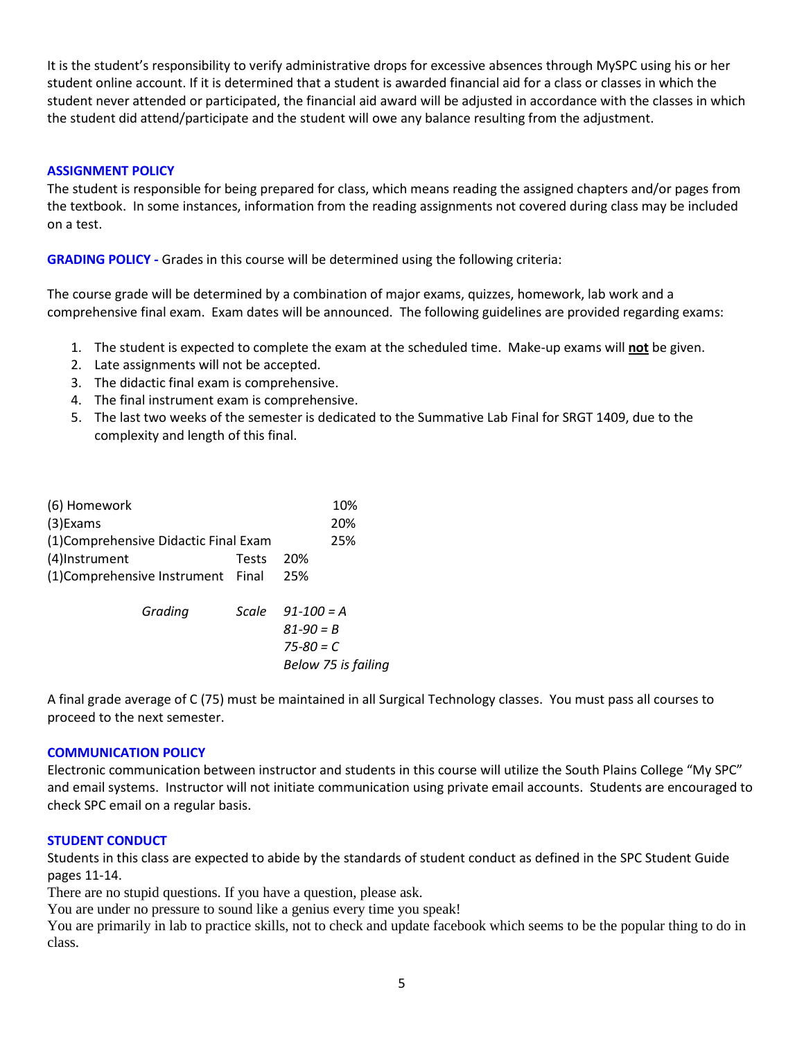It is the student's responsibility to verify administrative drops for excessive absences through MySPC using his or her student online account. If it is determined that a student is awarded financial aid for a class or classes in which the student never attended or participated, the financial aid award will be adjusted in accordance with the classes in which the student did attend/participate and the student will owe any balance resulting from the adjustment.

### **ASSIGNMENT POLICY**

The student is responsible for being prepared for class, which means reading the assigned chapters and/or pages from the textbook. In some instances, information from the reading assignments not covered during class may be included on a test.

**GRADING POLICY -** Grades in this course will be determined using the following criteria:

The course grade will be determined by a combination of major exams, quizzes, homework, lab work and a comprehensive final exam. Exam dates will be announced. The following guidelines are provided regarding exams:

- 1. The student is expected to complete the exam at the scheduled time. Make-up exams will **not** be given.
- 2. Late assignments will not be accepted.
- 3. The didactic final exam is comprehensive.
- 4. The final instrument exam is comprehensive.
- 5. The last two weeks of the semester is dedicated to the Summative Lab Final for SRGT 1409, due to the complexity and length of this final.

| (6) Homework                          |       | 10%                  |
|---------------------------------------|-------|----------------------|
| $(3)$ Exams                           | 20%   |                      |
| (1) Comprehensive Didactic Final Exam | 25%   |                      |
| (4)Instrument                         | Tests | 20%                  |
| (1) Comprehensive Instrument Final    |       | 25%                  |
| Grading                               |       | Scale $91 - 100 = A$ |
|                                       |       | $81 - 90 = B$        |
|                                       |       | $75 - 80 = C$        |
|                                       |       | Below 75 is failing  |

A final grade average of C (75) must be maintained in all Surgical Technology classes. You must pass all courses to proceed to the next semester.

### **COMMUNICATION POLICY**

Electronic communication between instructor and students in this course will utilize the South Plains College "My SPC" and email systems. Instructor will not initiate communication using private email accounts. Students are encouraged to check SPC email on a regular basis.

### **STUDENT CONDUCT**

Students in this class are expected to abide by the standards of student conduct as defined in the SPC Student Guide pages 11-14.

There are no stupid questions. If you have a question, please ask.

You are under no pressure to sound like a genius every time you speak!

You are primarily in lab to practice skills, not to check and update facebook which seems to be the popular thing to do in class.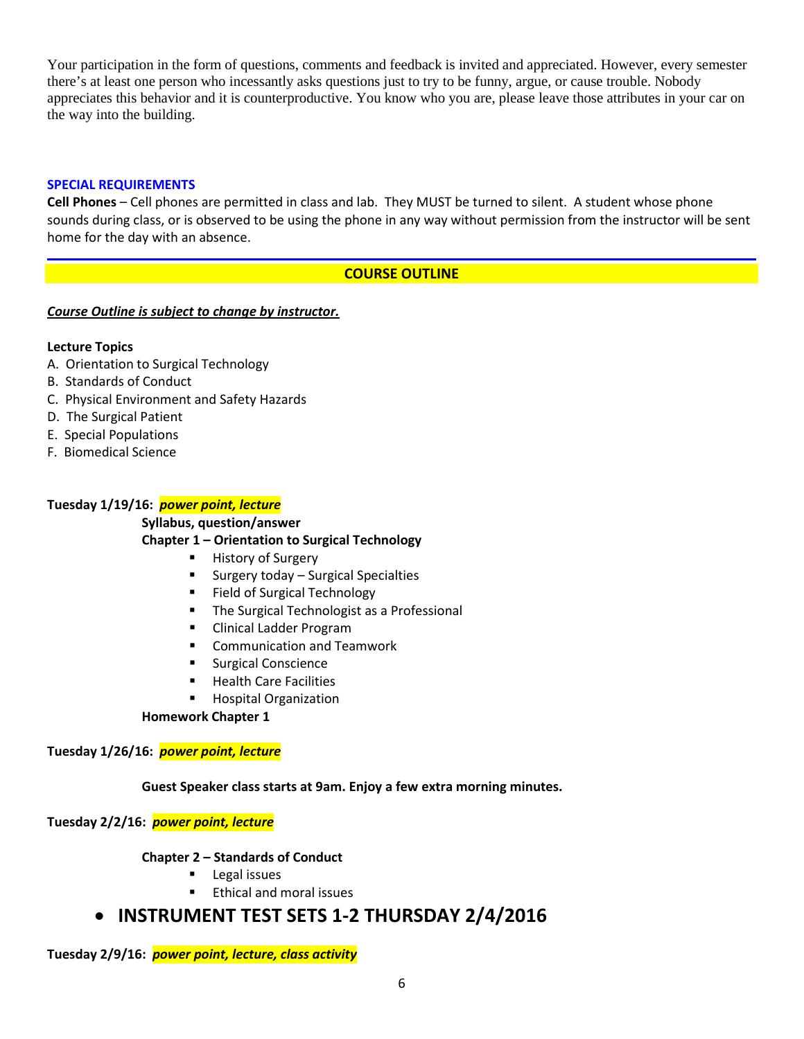Your participation in the form of questions, comments and feedback is invited and appreciated. However, every semester there's at least one person who incessantly asks questions just to try to be funny, argue, or cause trouble. Nobody appreciates this behavior and it is counterproductive. You know who you are, please leave those attributes in your car on the way into the building.

### **SPECIAL REQUIREMENTS**

**Cell Phones** – Cell phones are permitted in class and lab. They MUST be turned to silent. A student whose phone sounds during class, or is observed to be using the phone in any way without permission from the instructor will be sent home for the day with an absence.

# **COURSE OUTLINE**

## *Course Outline is subject to change by instructor.*

## **Lecture Topics**

- A. Orientation to Surgical Technology
- B. Standards of Conduct
- C. Physical Environment and Safety Hazards
- D. The Surgical Patient
- E. Special Populations
- F. Biomedical Science

## **Tuesday 1/19/16:** *power point, lecture*

**Syllabus, question/answer**

### **Chapter 1 – Orientation to Surgical Technology**

- History of Surgery
- Surgery today Surgical Specialties
- **Field of Surgical Technology**
- The Surgical Technologist as a Professional
- **EXECLINICAL Ladder Program**
- **EXECOMMUNICATION AND THE COMMUNICATION**
- **Surgical Conscience**
- **Health Care Facilities**
- Hospital Organization

### **Homework Chapter 1**

### **Tuesday 1/26/16:** *power point, lecture*

### **Guest Speaker class starts at 9am. Enjoy a few extra morning minutes.**

### **Tuesday 2/2/16:** *power point, lecture*

### **Chapter 2 – Standards of Conduct**

- Legal issues
- Ethical and moral issues

# • **INSTRUMENT TEST SETS 1-2 THURSDAY 2/4/2016**

**Tuesday 2/9/16:** *power point, lecture, class activity*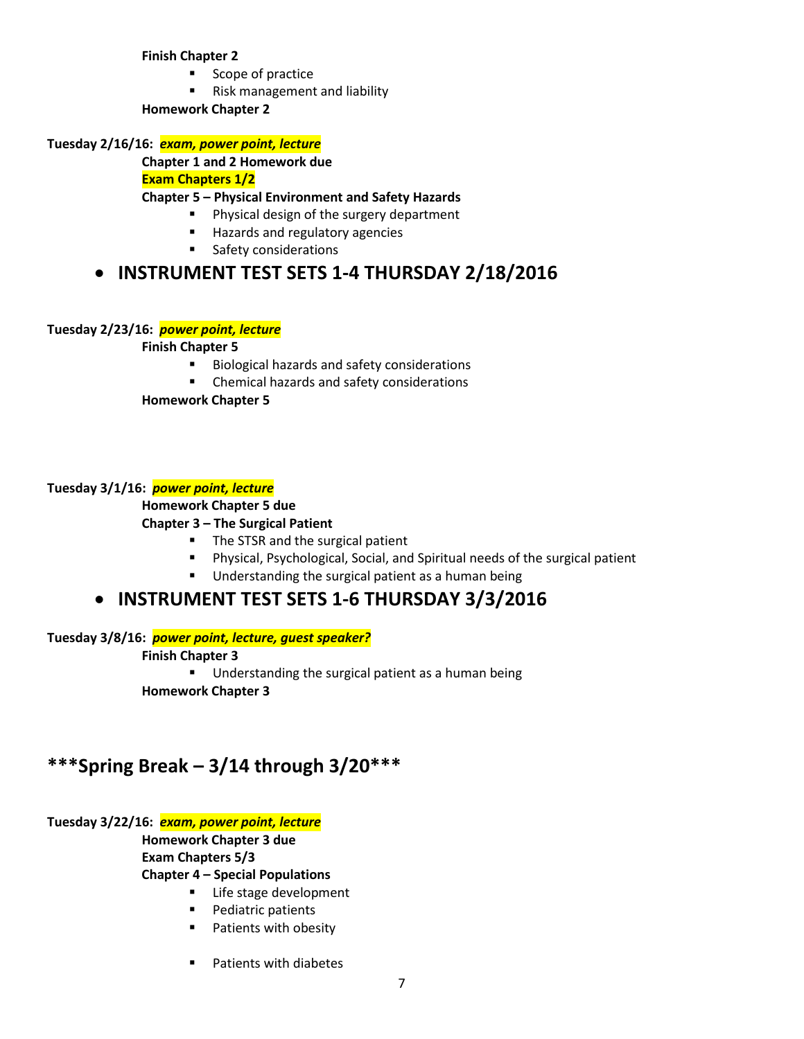**Finish Chapter 2**

- **Scope of practice**
- **Risk management and liability**

**Homework Chapter 2**

**Tuesday 2/16/16:** *exam, power point, lecture*

**Chapter 1 and 2 Homework due**

**Exam Chapters 1/2**

### **Chapter 5 – Physical Environment and Safety Hazards**

- **Physical design of the surgery department**
- **Hazards and regulatory agencies**
- **Safety considerations**

# • **INSTRUMENT TEST SETS 1-4 THURSDAY 2/18/2016**

## **Tuesday 2/23/16:** *power point, lecture*

**Finish Chapter 5**

- Biological hazards and safety considerations
- **EXEC** Chemical hazards and safety considerations

**Homework Chapter 5**

## **Tuesday 3/1/16:** *power point, lecture*

### **Homework Chapter 5 due**

### **Chapter 3 – The Surgical Patient**

- The STSR and the surgical patient
- Physical, Psychological, Social, and Spiritual needs of the surgical patient
- Understanding the surgical patient as a human being

# • **INSTRUMENT TEST SETS 1-6 THURSDAY 3/3/2016**

**Tuesday 3/8/16:** *power point, lecture, guest speaker?*

### **Finish Chapter 3**

**Understanding the surgical patient as a human being** 

**Homework Chapter 3**

# **\*\*\*Spring Break – 3/14 through 3/20\*\*\***

### **Tuesday 3/22/16:** *exam, power point, lecture*

**Homework Chapter 3 due Exam Chapters 5/3**

**Chapter 4 – Special Populations**

- Life stage development
- **Pediatric patients**
- **Patients with obesity**
- **Patients with diabetes**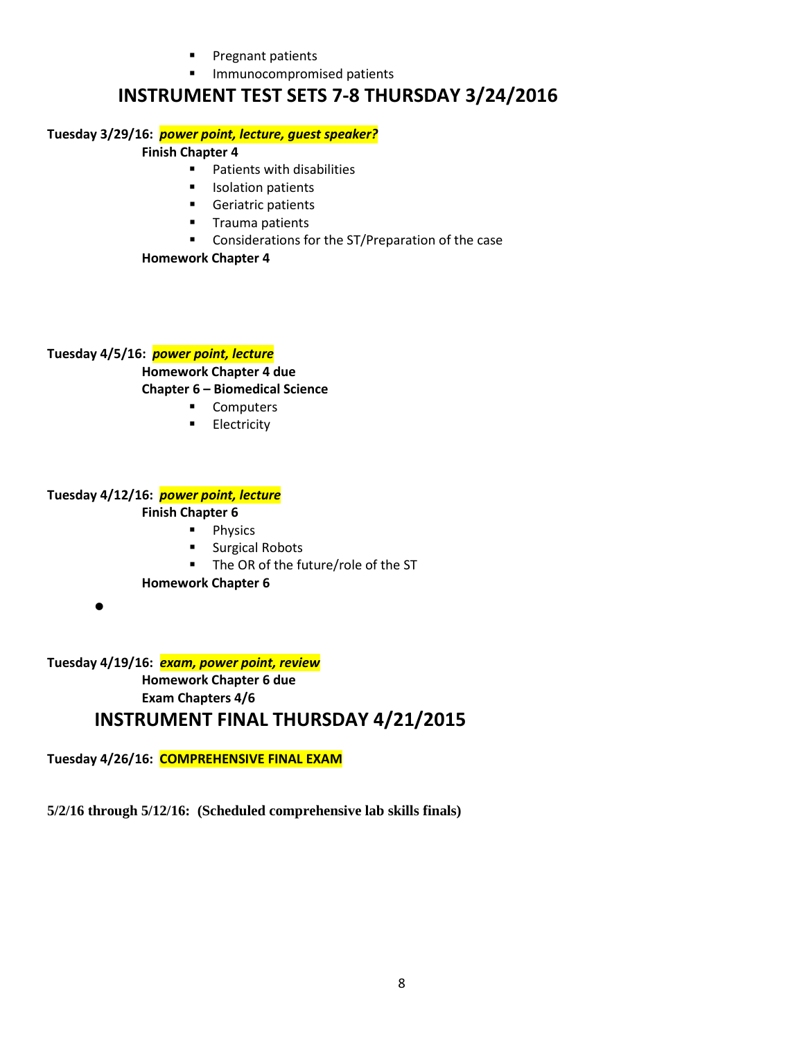- Pregnant patients
- **Immunocompromised patients**

# **INSTRUMENT TEST SETS 7-8 THURSDAY 3/24/2016**

## **Tuesday 3/29/16:** *power point, lecture, guest speaker?*

## **Finish Chapter 4**

- **Patients with disabilities**
- **Industrianal Interval**
- **Geriatric patients**
- **Trauma patients**
- **EXECONS** Considerations for the ST/Preparation of the case

## **Homework Chapter 4**

**Tuesday 4/5/16:** *power point, lecture*

### **Homework Chapter 4 due Chapter 6 – Biomedical Science**

- **Computers** 
	- **Electricity**

# **Tuesday 4/12/16:** *power point, lecture*

## **Finish Chapter 6**

- **Physics**
- **Surgical Robots**
- The OR of the future/role of the ST
- **Homework Chapter 6**
- •

**Tuesday 4/19/16:** *exam, power point, review* **Homework Chapter 6 due Exam Chapters 4/6 INSTRUMENT FINAL THURSDAY 4/21/2015**

**Tuesday 4/26/16: COMPREHENSIVE FINAL EXAM**

**5/2/16 through 5/12/16: (Scheduled comprehensive lab skills finals)**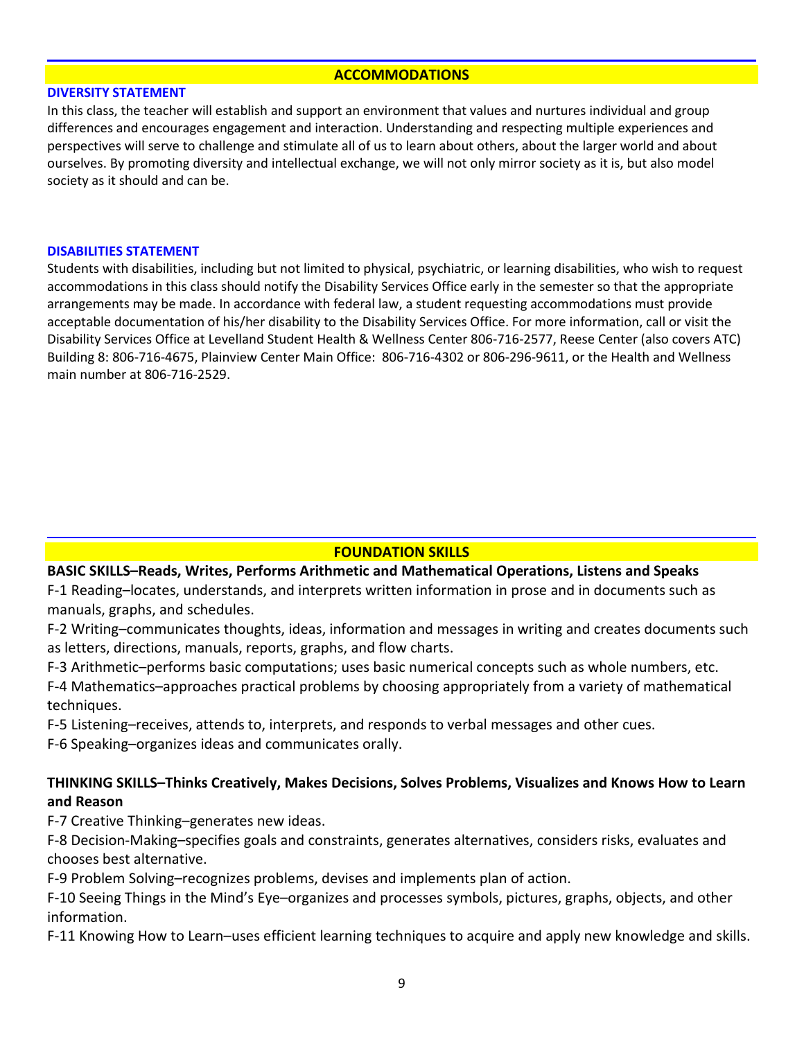### **ACCOMMODATIONS**

### **DIVERSITY STATEMENT**

In this class, the teacher will establish and support an environment that values and nurtures individual and group differences and encourages engagement and interaction. Understanding and respecting multiple experiences and perspectives will serve to challenge and stimulate all of us to learn about others, about the larger world and about ourselves. By promoting diversity and intellectual exchange, we will not only mirror society as it is, but also model society as it should and can be.

### **DISABILITIES STATEMENT**

Students with disabilities, including but not limited to physical, psychiatric, or learning disabilities, who wish to request accommodations in this class should notify the Disability Services Office early in the semester so that the appropriate arrangements may be made. In accordance with federal law, a student requesting accommodations must provide acceptable documentation of his/her disability to the Disability Services Office. For more information, call or visit the Disability Services Office at Levelland Student Health & Wellness Center 806-716-2577, Reese Center (also covers ATC) Building 8: 806-716-4675, Plainview Center Main Office: 806-716-4302 or 806-296-9611, or the Health and Wellness main number at 806-716-2529.

### **FOUNDATION SKILLS**

### **BASIC SKILLS–Reads, Writes, Performs Arithmetic and Mathematical Operations, Listens and Speaks**

F-1 Reading–locates, understands, and interprets written information in prose and in documents such as manuals, graphs, and schedules.

F-2 Writing–communicates thoughts, ideas, information and messages in writing and creates documents such as letters, directions, manuals, reports, graphs, and flow charts.

F-3 Arithmetic–performs basic computations; uses basic numerical concepts such as whole numbers, etc.

F-4 Mathematics–approaches practical problems by choosing appropriately from a variety of mathematical techniques.

F-5 Listening–receives, attends to, interprets, and responds to verbal messages and other cues.

F-6 Speaking–organizes ideas and communicates orally.

# **THINKING SKILLS–Thinks Creatively, Makes Decisions, Solves Problems, Visualizes and Knows How to Learn and Reason**

F-7 Creative Thinking–generates new ideas.

F-8 Decision-Making–specifies goals and constraints, generates alternatives, considers risks, evaluates and chooses best alternative.

F-9 Problem Solving–recognizes problems, devises and implements plan of action.

F-10 Seeing Things in the Mind's Eye–organizes and processes symbols, pictures, graphs, objects, and other information.

F-11 Knowing How to Learn–uses efficient learning techniques to acquire and apply new knowledge and skills.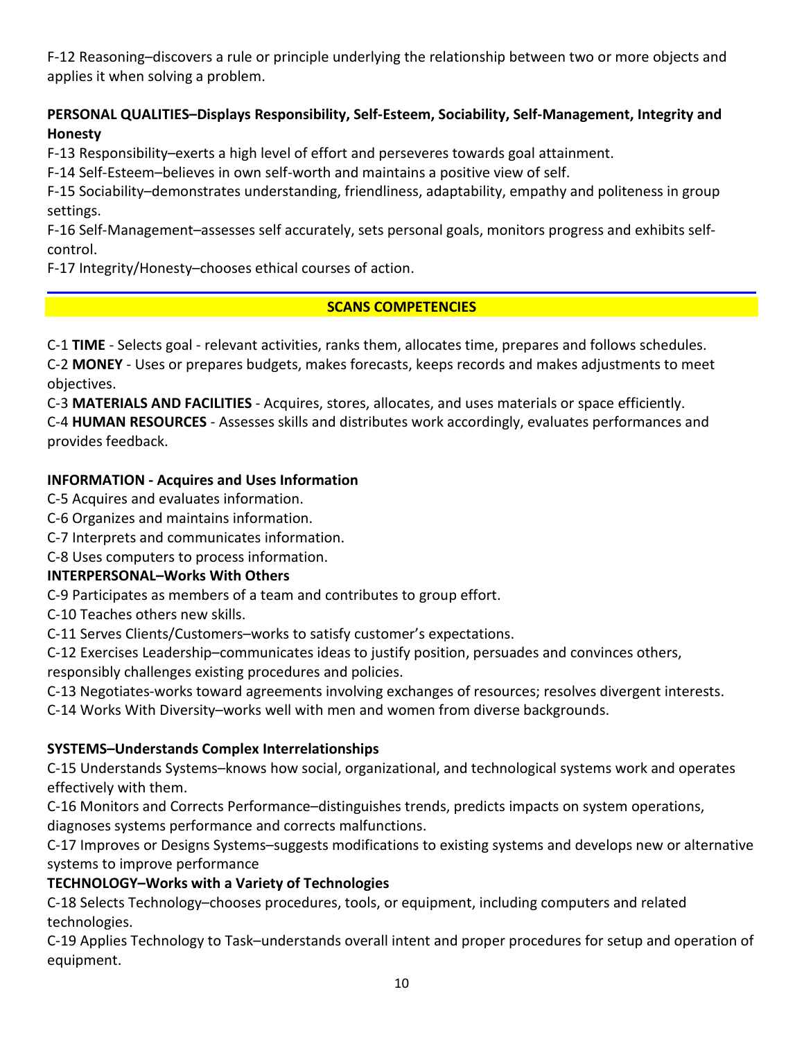F-12 Reasoning–discovers a rule or principle underlying the relationship between two or more objects and applies it when solving a problem.

# **PERSONAL QUALITIES–Displays Responsibility, Self-Esteem, Sociability, Self-Management, Integrity and Honesty**

F-13 Responsibility–exerts a high level of effort and perseveres towards goal attainment.

F-14 Self-Esteem–believes in own self-worth and maintains a positive view of self.

F-15 Sociability–demonstrates understanding, friendliness, adaptability, empathy and politeness in group settings.

F-16 Self-Management–assesses self accurately, sets personal goals, monitors progress and exhibits selfcontrol.

F-17 Integrity/Honesty–chooses ethical courses of action.

# **SCANS COMPETENCIES**

C-1 **TIME** - Selects goal - relevant activities, ranks them, allocates time, prepares and follows schedules. C-2 **MONEY** - Uses or prepares budgets, makes forecasts, keeps records and makes adjustments to meet objectives.

C-3 **MATERIALS AND FACILITIES** - Acquires, stores, allocates, and uses materials or space efficiently. C-4 **HUMAN RESOURCES** - Assesses skills and distributes work accordingly, evaluates performances and provides feedback.

# **INFORMATION - Acquires and Uses Information**

C-5 Acquires and evaluates information.

- C-6 Organizes and maintains information.
- C-7 Interprets and communicates information.
- C-8 Uses computers to process information.

# **INTERPERSONAL–Works With Others**

C-9 Participates as members of a team and contributes to group effort.

C-10 Teaches others new skills.

C-11 Serves Clients/Customers–works to satisfy customer's expectations.

C-12 Exercises Leadership–communicates ideas to justify position, persuades and convinces others,

responsibly challenges existing procedures and policies.

C-13 Negotiates-works toward agreements involving exchanges of resources; resolves divergent interests.

C-14 Works With Diversity–works well with men and women from diverse backgrounds.

# **SYSTEMS–Understands Complex Interrelationships**

C-15 Understands Systems–knows how social, organizational, and technological systems work and operates effectively with them.

C-16 Monitors and Corrects Performance–distinguishes trends, predicts impacts on system operations, diagnoses systems performance and corrects malfunctions.

C-17 Improves or Designs Systems–suggests modifications to existing systems and develops new or alternative systems to improve performance

# **TECHNOLOGY–Works with a Variety of Technologies**

C-18 Selects Technology–chooses procedures, tools, or equipment, including computers and related technologies.

C-19 Applies Technology to Task–understands overall intent and proper procedures for setup and operation of equipment.